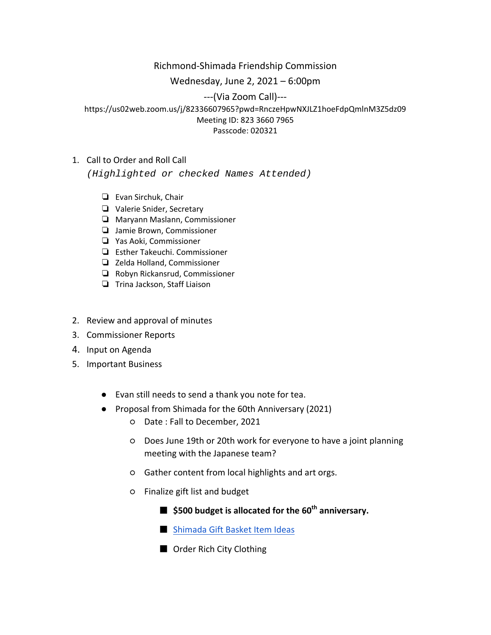## Richmond-Shimada Friendship Commission

Wednesday, June 2, 2021 – 6:00pm

---(Via Zoom Call)---

https://us02web.zoom.us/j/82336607965?pwd=RnczeHpwNXJLZ1hoeFdpQmlnM3Z5dz09 Meeting ID: 823 3660 7965 Passcode: 020321

1. Call to Order and Roll Call

*(Highlighted or checked Names Attended)*

- ❏ Evan Sirchuk, Chair
- ❏ Valerie Snider, Secretary
- ❏ Maryann Maslann, Commissioner
- ❏ Jamie Brown, Commissioner
- ❏ Yas Aoki, Commissioner
- ❏ Esther Takeuchi. Commissioner
- ❏ Zelda Holland, Commissioner
- ❏ Robyn Rickansrud, Commissioner
- ❏ Trina Jackson, Staff Liaison
- 2. Review and approval of minutes
- 3. Commissioner Reports
- 4. Input on Agenda
- 5. Important Business
	- Evan still needs to send a thank you note for tea.
	- Proposal from Shimada for the 60th Anniversary (2021)
		- Date : Fall to December, 2021
		- Does June 19th or 20th work for everyone to have a joint planning meeting with the Japanese team?
		- Gather content from local highlights and art orgs.
		- Finalize gift list and budget
			- \$500 budget is allocated for the 60<sup>th</sup> anniversary.
			- [Shimada Gift Basket Item Ideas](https://docs.google.com/document/u/0/d/1Ga2Gg-AbgMfllr2nobu65ncLXRICfRdtHaIW5sMLHG0/edit)
			- Order Rich City Clothing